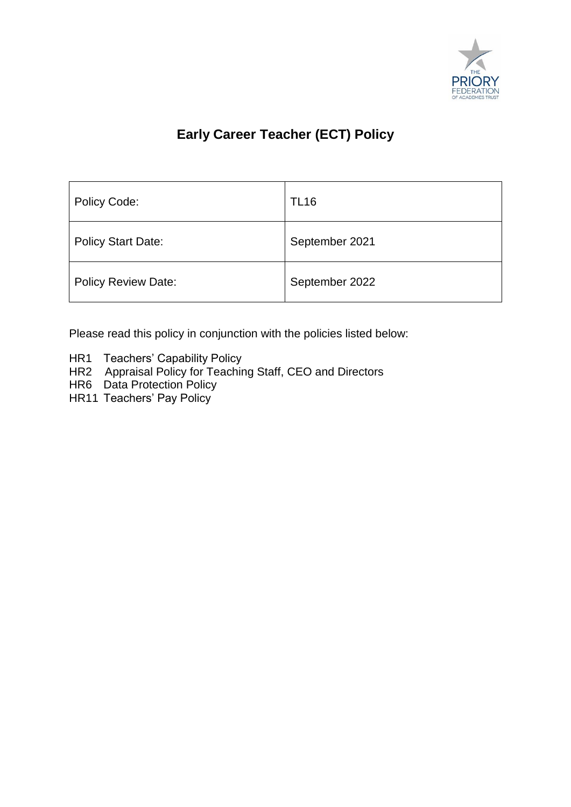

## **Early Career Teacher (ECT) Policy**

| Policy Code:               | <b>TL16</b>    |
|----------------------------|----------------|
| <b>Policy Start Date:</b>  | September 2021 |
| <b>Policy Review Date:</b> | September 2022 |

Please read this policy in conjunction with the policies listed below:

- HR1 Teachers' Capability Policy
- HR2 Appraisal Policy for Teaching Staff, CEO and Directors
- HR6 Data Protection Policy
- HR11 Teachers' Pay Policy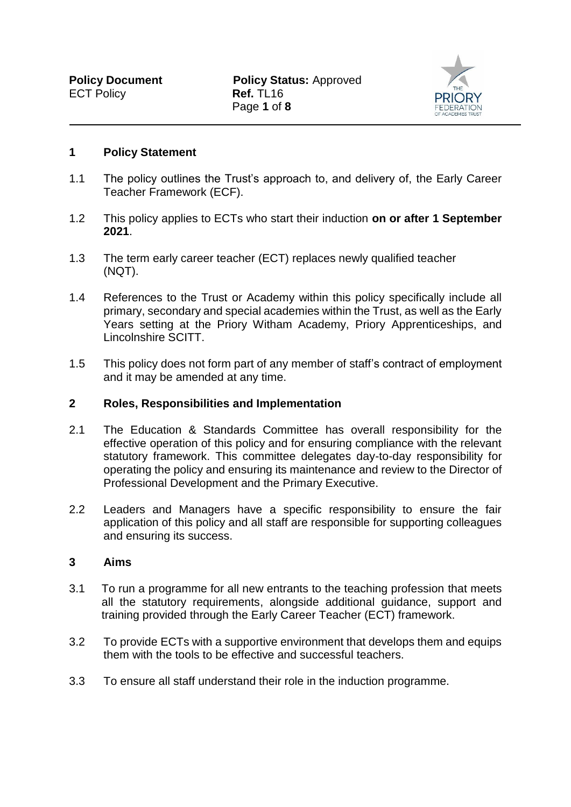

## **1 Policy Statement**

- 1.1 The policy outlines the Trust's approach to, and delivery of, the Early Career Teacher Framework (ECF).
- 1.2 This policy applies to ECTs who start their induction **on or after 1 September 2021**.
- 1.3 The term early career teacher (ECT) replaces newly qualified teacher (NQT).
- 1.4 References to the Trust or Academy within this policy specifically include all primary, secondary and special academies within the Trust, as well as the Early Years setting at the Priory Witham Academy, Priory Apprenticeships, and Lincolnshire SCITT.
- 1.5 This policy does not form part of any member of staff's contract of employment and it may be amended at any time.

## **2 Roles, Responsibilities and Implementation**

- 2.1 The Education & Standards Committee has overall responsibility for the effective operation of this policy and for ensuring compliance with the relevant statutory framework. This committee delegates day-to-day responsibility for operating the policy and ensuring its maintenance and review to the Director of Professional Development and the Primary Executive.
- 2.2 Leaders and Managers have a specific responsibility to ensure the fair application of this policy and all staff are responsible for supporting colleagues and ensuring its success.

## **3 Aims**

- 3.1 To run a programme for all new entrants to the teaching profession that meets all the statutory requirements, alongside additional guidance, support and training provided through the Early Career Teacher (ECT) framework.
- 3.2 To provide ECTs with a supportive environment that develops them and equips them with the tools to be effective and successful teachers.
- 3.3 To ensure all staff understand their role in the induction programme.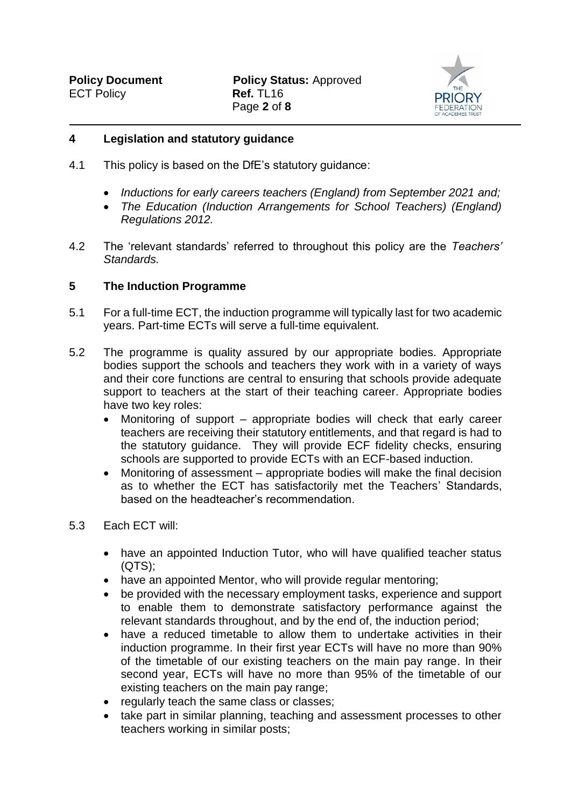

## **4 Legislation and statutory guidance**

- 4.1 This policy is based on the DfE's statutory guidance:
	- *Inductions for early careers teachers (England) from September 2021 and;*
	- *The Education (Induction Arrangements for School Teachers) (England) Regulations 2012.*
- 4.2 The 'relevant standards' referred to throughout this policy are the *Teachers' Standards.*

## **5 The Induction Programme**

- 5.1 For a full-time ECT, the induction programme will typically last for two academic years. Part-time ECTs will serve a full-time equivalent.
- 5.2 The programme is quality assured by our appropriate bodies. Appropriate bodies support the schools and teachers they work with in a variety of ways and their core functions are central to ensuring that schools provide adequate support to teachers at the start of their teaching career. Appropriate bodies have two key roles:
	- Monitoring of support appropriate bodies will check that early career teachers are receiving their statutory entitlements, and that regard is had to the statutory guidance. They will provide ECF fidelity checks, ensuring schools are supported to provide ECTs with an ECF-based induction.
	- Monitoring of assessment appropriate bodies will make the final decision as to whether the ECT has satisfactorily met the Teachers' Standards, based on the headteacher's recommendation.

## 5.3 Each ECT will:

- have an appointed Induction Tutor, who will have qualified teacher status (QTS);
- have an appointed Mentor, who will provide regular mentoring;
- be provided with the necessary employment tasks, experience and support to enable them to demonstrate satisfactory performance against the relevant standards throughout, and by the end of, the induction period;
- have a reduced timetable to allow them to undertake activities in their induction programme. In their first year ECTs will have no more than 90% of the timetable of our existing teachers on the main pay range. In their second year, ECTs will have no more than 95% of the timetable of our existing teachers on the main pay range;
- regularly teach the same class or classes;
- take part in similar planning, teaching and assessment processes to other teachers working in similar posts;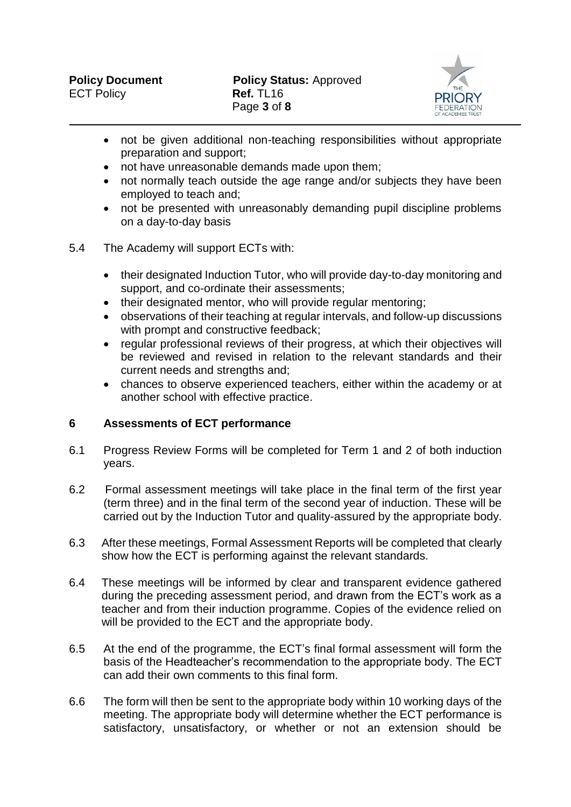

- not be given additional non-teaching responsibilities without appropriate preparation and support;
- not have unreasonable demands made upon them;
- not normally teach outside the age range and/or subjects they have been employed to teach and;
- not be presented with unreasonably demanding pupil discipline problems on a day-to-day basis
- 5.4 The Academy will support ECTs with:
	- their designated Induction Tutor, who will provide day-to-day monitoring and support, and co-ordinate their assessments;
	- their designated mentor, who will provide regular mentoring:
	- observations of their teaching at regular intervals, and follow-up discussions with prompt and constructive feedback;
	- regular professional reviews of their progress, at which their objectives will be reviewed and revised in relation to the relevant standards and their current needs and strengths and;
	- chances to observe experienced teachers, either within the academy or at another school with effective practice.

## **6 Assessments of ECT performance**

- 6.1 Progress Review Forms will be completed for Term 1 and 2 of both induction years.
- 6.2 Formal assessment meetings will take place in the final term of the first year (term three) and in the final term of the second year of induction. These will be carried out by the Induction Tutor and quality-assured by the appropriate body.
- 6.3 After these meetings, Formal Assessment Reports will be completed that clearly show how the ECT is performing against the relevant standards.
- 6.4 These meetings will be informed by clear and transparent evidence gathered during the preceding assessment period, and drawn from the ECT's work as a teacher and from their induction programme. Copies of the evidence relied on will be provided to the ECT and the appropriate body.
- 6.5 At the end of the programme, the ECT's final formal assessment will form the basis of the Headteacher's recommendation to the appropriate body. The ECT can add their own comments to this final form.
- 6.6 The form will then be sent to the appropriate body within 10 working days of the meeting. The appropriate body will determine whether the ECT performance is satisfactory, unsatisfactory, or whether or not an extension should be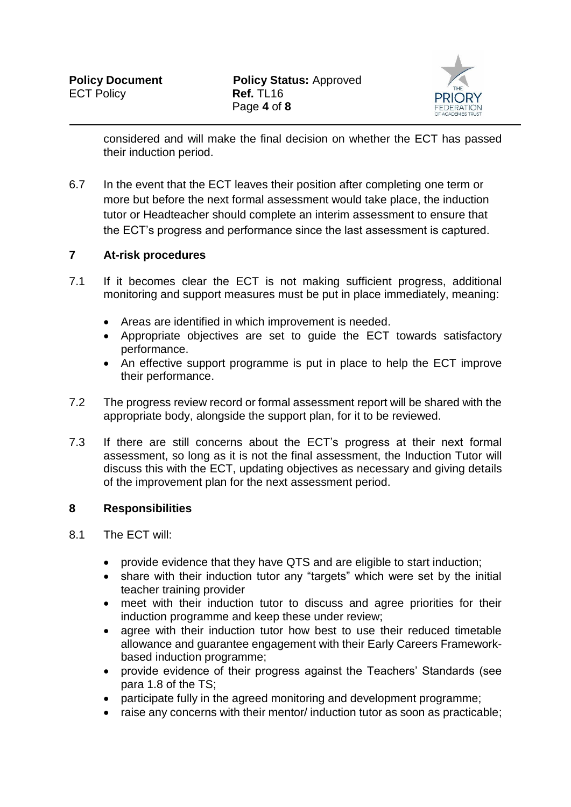

considered and will make the final decision on whether the ECT has passed their induction period.

6.7 In the event that the ECT leaves their position after completing one term or more but before the next formal assessment would take place, the induction tutor or Headteacher should complete an interim assessment to ensure that the ECT's progress and performance since the last assessment is captured.

## **7 At-risk procedures**

- 7.1 If it becomes clear the ECT is not making sufficient progress, additional monitoring and support measures must be put in place immediately, meaning:
	- Areas are identified in which improvement is needed.
	- Appropriate objectives are set to guide the ECT towards satisfactory performance.
	- An effective support programme is put in place to help the ECT improve their performance.
- 7.2 The progress review record or formal assessment report will be shared with the appropriate body, alongside the support plan, for it to be reviewed.
- 7.3 If there are still concerns about the ECT's progress at their next formal assessment, so long as it is not the final assessment, the Induction Tutor will discuss this with the ECT, updating objectives as necessary and giving details of the improvement plan for the next assessment period.

## **8 Responsibilities**

- 8.1 The ECT will:
	- provide evidence that they have QTS and are eligible to start induction;
	- share with their induction tutor any "targets" which were set by the initial teacher training provider
	- meet with their induction tutor to discuss and agree priorities for their induction programme and keep these under review;
	- agree with their induction tutor how best to use their reduced timetable allowance and guarantee engagement with their Early Careers Frameworkbased induction programme;
	- provide evidence of their progress against the Teachers' Standards (see para 1.8 of the TS;
	- participate fully in the agreed monitoring and development programme:
	- raise any concerns with their mentor/ induction tutor as soon as practicable;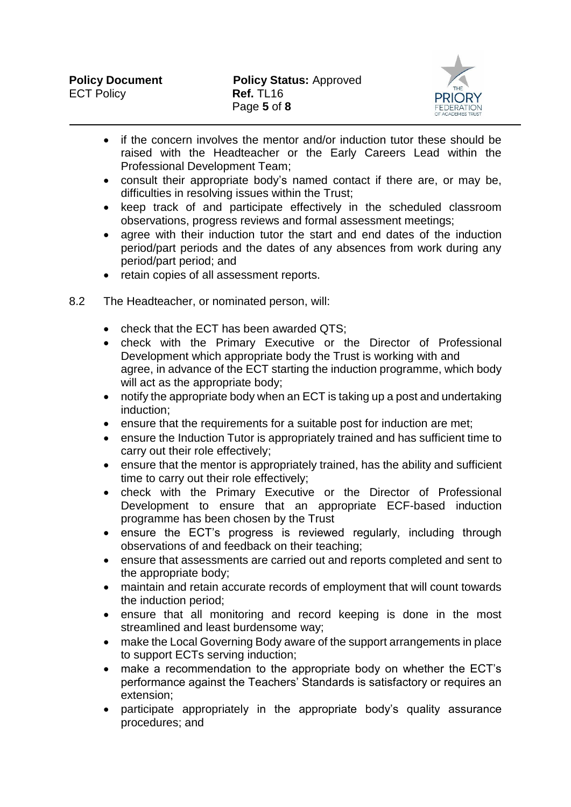

- if the concern involves the mentor and/or induction tutor these should be raised with the Headteacher or the Early Careers Lead within the Professional Development Team;
- consult their appropriate body's named contact if there are, or may be, difficulties in resolving issues within the Trust;
- keep track of and participate effectively in the scheduled classroom observations, progress reviews and formal assessment meetings;
- agree with their induction tutor the start and end dates of the induction period/part periods and the dates of any absences from work during any period/part period; and
- retain copies of all assessment reports.
- 8.2 The Headteacher, or nominated person, will:
	- check that the ECT has been awarded QTS;
	- check with the Primary Executive or the Director of Professional Development which appropriate body the Trust is working with and agree, in advance of the ECT starting the induction programme, which body will act as the appropriate body;
	- notify the appropriate body when an ECT is taking up a post and undertaking induction;
	- ensure that the requirements for a suitable post for induction are met;
	- ensure the Induction Tutor is appropriately trained and has sufficient time to carry out their role effectively;
	- ensure that the mentor is appropriately trained, has the ability and sufficient time to carry out their role effectively;
	- check with the Primary Executive or the Director of Professional Development to ensure that an appropriate ECF-based induction programme has been chosen by the Trust
	- ensure the ECT's progress is reviewed regularly, including through observations of and feedback on their teaching;
	- ensure that assessments are carried out and reports completed and sent to the appropriate body;
	- maintain and retain accurate records of employment that will count towards the induction period;
	- ensure that all monitoring and record keeping is done in the most streamlined and least burdensome way;
	- make the Local Governing Body aware of the support arrangements in place to support ECTs serving induction;
	- make a recommendation to the appropriate body on whether the ECT's performance against the Teachers' Standards is satisfactory or requires an extension;
	- participate appropriately in the appropriate body's quality assurance procedures; and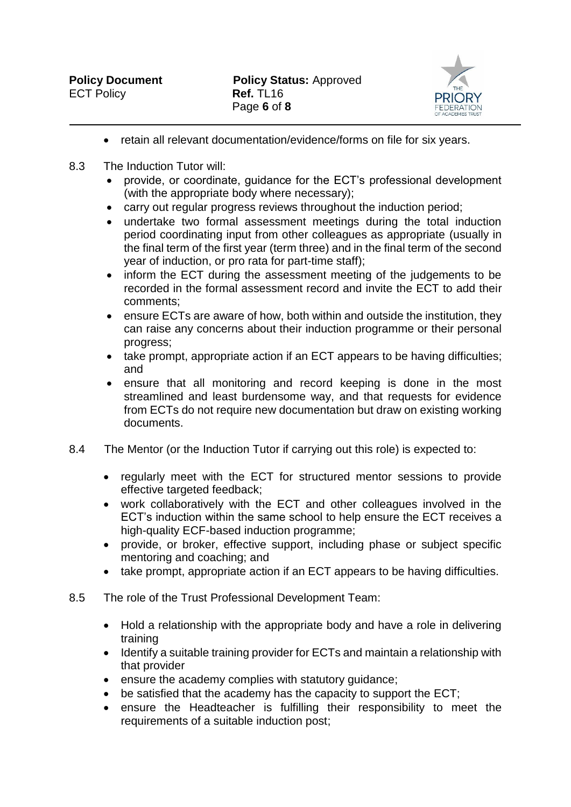

- retain all relevant documentation/evidence/forms on file for six years.
- 8.3 The Induction Tutor will:
	- provide, or coordinate, guidance for the ECT's professional development (with the appropriate body where necessary);
	- carry out regular progress reviews throughout the induction period;
	- undertake two formal assessment meetings during the total induction period coordinating input from other colleagues as appropriate (usually in the final term of the first year (term three) and in the final term of the second year of induction, or pro rata for part-time staff);
	- inform the ECT during the assessment meeting of the judgements to be recorded in the formal assessment record and invite the ECT to add their comments;
	- ensure ECTs are aware of how, both within and outside the institution, they can raise any concerns about their induction programme or their personal progress;
	- take prompt, appropriate action if an ECT appears to be having difficulties; and
	- ensure that all monitoring and record keeping is done in the most streamlined and least burdensome way, and that requests for evidence from ECTs do not require new documentation but draw on existing working documents.
- 8.4 The Mentor (or the Induction Tutor if carrying out this role) is expected to:
	- regularly meet with the ECT for structured mentor sessions to provide effective targeted feedback;
	- work collaboratively with the ECT and other colleagues involved in the ECT's induction within the same school to help ensure the ECT receives a high-quality ECF-based induction programme;
	- provide, or broker, effective support, including phase or subject specific mentoring and coaching; and
	- take prompt, appropriate action if an ECT appears to be having difficulties.
- 8.5 The role of the Trust Professional Development Team:
	- Hold a relationship with the appropriate body and have a role in delivering training
	- Identify a suitable training provider for ECTs and maintain a relationship with that provider
	- ensure the academy complies with statutory guidance;
	- be satisfied that the academy has the capacity to support the ECT;
	- ensure the Headteacher is fulfilling their responsibility to meet the requirements of a suitable induction post;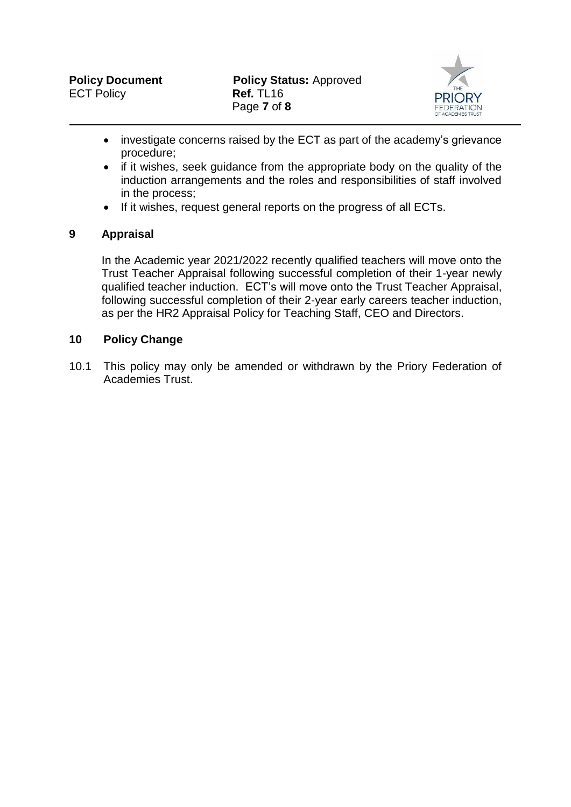

- investigate concerns raised by the ECT as part of the academy's grievance procedure;
- if it wishes, seek guidance from the appropriate body on the quality of the induction arrangements and the roles and responsibilities of staff involved in the process;
- If it wishes, request general reports on the progress of all ECTs.

## **9 Appraisal**

In the Academic year 2021/2022 recently qualified teachers will move onto the Trust Teacher Appraisal following successful completion of their 1-year newly qualified teacher induction. ECT's will move onto the Trust Teacher Appraisal, following successful completion of their 2-year early careers teacher induction, as per the HR2 Appraisal Policy for Teaching Staff, CEO and Directors.

## **10 Policy Change**

10.1 This policy may only be amended or withdrawn by the Priory Federation of Academies Trust.